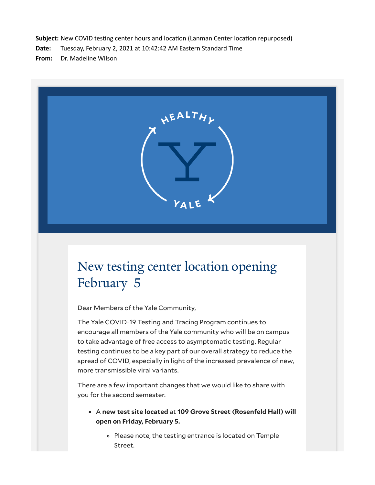**Subject:** New COVID testing center hours and location (Lanman Center location repurposed)

**Date:** Tuesday, February 2, 2021 at 10:42:42 AM Eastern Standard Time

**From:** Dr. Madeline Wilson



# New testing center location opening February 5

Dear Members of the Yale Community,

The Yale COVID-19 Testing and Tracing Program continues to encourage all members of the Yale community who will be on campus to take advantage of free access to asymptomatic testing. Regular testing continues to be a key part of our overall strategy to reduce the spread of COVID, especially in light of the increased prevalence of new, more transmissible viral variants.

There are a few important changes that we would like to share with you for the second semester.

- A **new test site located** at **109 Grove Street (Rosenfeld Hall) will open on Friday, February 5.**
	- Please note, the testing entrance is located on Temple Street.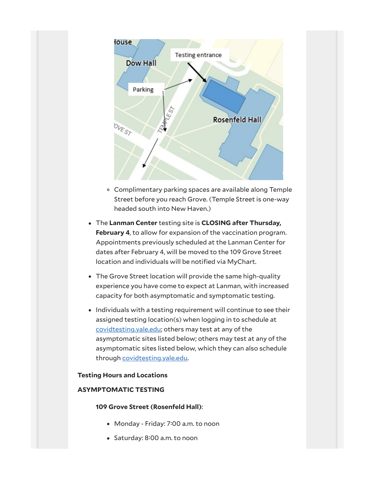

- Complimentary parking spaces are available along Temple Street before you reach Grove. (Temple Street is one-way headed south into New Haven.)
- The **Lanman Center** testing site is **CLOSING after Thursday, February 4**, to allow for expansion of the vaccination program. Appointments previously scheduled at the Lanman Center for dates after February 4, will be moved to the 109 Grove Street location and individuals will be notified via MyChart.
- The Grove Street location will provide the same high-quality experience you have come to expect at Lanman, with increased capacity for both asymptomatic and symptomatic testing.
- Individuals with a testing requirement will continue to see their assigned testing location(s) when logging in to schedule at [covidtesting.yale.edu;](https://click.message.yale.edu/?qs=e061a1dfeab010b1a57b26802a7aec806e56137d7c6ea2cdfa7278fd0233fe490dbd3c059d0aff05ff7d7fb1b1ddd1f8dcb972924c37855d) others may test at any of the asymptomatic sites listed below; others may test at any of the asymptomatic sites listed below, which they can also schedule through [covidtesting.yale.edu](https://click.message.yale.edu/?qs=e061a1dfeab010b1f4ad2677d27be93d22c7bfae2d1ee99d83fa5e7db6257d43dc3739ea22915c87d02968bfd2eefedab2e9b5fad44ab5c5).

## **Testing Hours and Locations**

## **ASYMPTOMATIC TESTING**

#### **109 Grove Street (Rosenfeld Hall)**:

- Monday Friday: 7:00 a.m. to noon
- Saturday: 8:00 a.m. to noon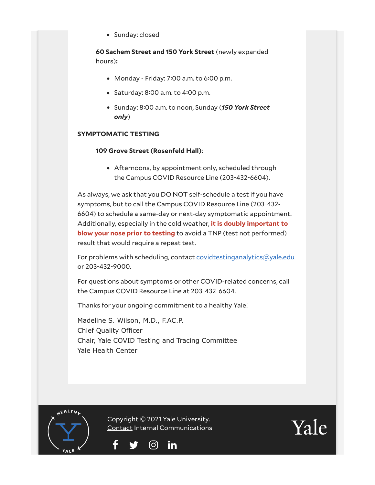• Sunday: closed

**60 Sachem Street and 150 York Street** (newly expanded hours)**:**

- $\bullet$  Monday Friday: 7:00 a.m. to 6:00 p.m.
- Saturday:  $8:00$  a.m. to  $4:00$  p.m.
- Sunday: 8:00 a.m. to noon, Sunday (*150 York Street only*)

# **SYMPTOMATIC TESTING**

# **109 Grove Street (Rosenfeld Hall)**:

Afternoons, by appointment only, scheduled through the Campus COVID Resource Line (203-432-6604).

As always, we ask that you DO NOT self-schedule a test if you have symptoms, but to call the Campus COVID Resource Line (203-432- 6604) to schedule a same-day or next-day symptomatic appointment. Additionally, especially in the cold weather, **it is doubly important to blow your nose prior to testing** to avoid a TNP (test not performed) result that would require a repeat test.

For problems with scheduling, contact [covidtestinganalytics@yale.edu](mailto:covidtestinganalytics@yale.edu) or 203-432-9000.

For questions about symptoms or other COVID-related concerns, call the Campus COVID Resource Line at 203-432-6604.

Thanks for your ongoing commitment to a healthy Yale!

Madeline S. Wilson, M.D., F.AC.P. Chief Quality Officer Chair, Yale COVID Testing and Tracing Committee Yale Health Center

**HEALTH,** 

Copyright © 2021 Yale University. [Contact](mailto:internal.communications@yale.edu?subject=) Internal Communications